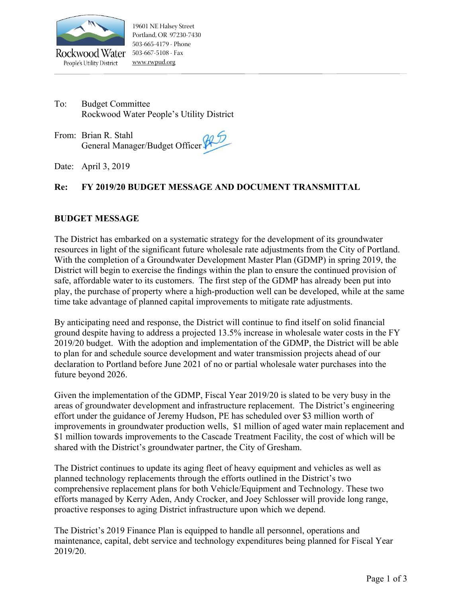

People's Utility District

To: Budget Committee Rockwood Water People's Utility District

From: Brian R. Stahl General Manager/Budget Officer

Date: April 3, 2019

## **Re: FY 2019/20 BUDGET MESSAGE AND DOCUMENT TRANSMITTAL**

### **BUDGET MESSAGE**

The District has embarked on a systematic strategy for the development of its groundwater resources in light of the significant future wholesale rate adjustments from the City of Portland. With the completion of a Groundwater Development Master Plan (GDMP) in spring 2019, the District will begin to exercise the findings within the plan to ensure the continued provision of safe, affordable water to its customers. The first step of the GDMP has already been put into play, the purchase of property where a high-production well can be developed, while at the same time take advantage of planned capital improvements to mitigate rate adjustments.

By anticipating need and response, the District will continue to find itself on solid financial ground despite having to address a projected 13.5% increase in wholesale water costs in the FY 2019/20 budget. With the adoption and implementation of the GDMP, the District will be able to plan for and schedule source development and water transmission projects ahead of our declaration to Portland before June 2021 of no or partial wholesale water purchases into the future beyond 2026.

Given the implementation of the GDMP, Fiscal Year 2019/20 is slated to be very busy in the areas of groundwater development and infrastructure replacement. The District's engineering effort under the guidance of Jeremy Hudson, PE has scheduled over \$3 million worth of improvements in groundwater production wells, \$1 million of aged water main replacement and \$1 million towards improvements to the Cascade Treatment Facility, the cost of which will be shared with the District's groundwater partner, the City of Gresham.

The District continues to update its aging fleet of heavy equipment and vehicles as well as planned technology replacements through the efforts outlined in the District's two comprehensive replacement plans for both Vehicle/Equipment and Technology. These two efforts managed by Kerry Aden, Andy Crocker, and Joey Schlosser will provide long range, proactive responses to aging District infrastructure upon which we depend.

The District's 2019 Finance Plan is equipped to handle all personnel, operations and maintenance, capital, debt service and technology expenditures being planned for Fiscal Year 2019/20.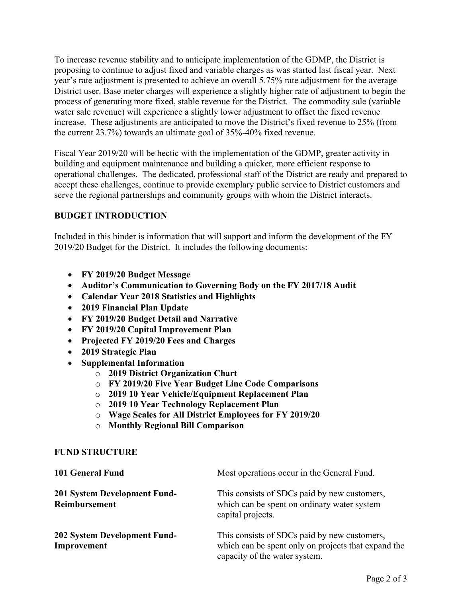To increase revenue stability and to anticipate implementation of the GDMP, the District is proposing to continue to adjust fixed and variable charges as was started last fiscal year. Next year's rate adjustment is presented to achieve an overall 5.75% rate adjustment for the average District user. Base meter charges will experience a slightly higher rate of adjustment to begin the process of generating more fixed, stable revenue for the District. The commodity sale (variable water sale revenue) will experience a slightly lower adjustment to offset the fixed revenue increase. These adjustments are anticipated to move the District's fixed revenue to 25% (from the current 23.7%) towards an ultimate goal of 35%-40% fixed revenue.

Fiscal Year 2019/20 will be hectic with the implementation of the GDMP, greater activity in building and equipment maintenance and building a quicker, more efficient response to operational challenges. The dedicated, professional staff of the District are ready and prepared to accept these challenges, continue to provide exemplary public service to District customers and serve the regional partnerships and community groups with whom the District interacts.

## **BUDGET INTRODUCTION**

Included in this binder is information that will support and inform the development of the FY 2019/20 Budget for the District. It includes the following documents:

- **FY 2019/20 Budget Message**
- **Auditor's Communication to Governing Body on the FY 2017/18 Audit**
- **Calendar Year 2018 Statistics and Highlights**
- **2019 Financial Plan Update**
- **FY 2019/20 Budget Detail and Narrative**
- **FY 2019/20 Capital Improvement Plan**
- **Projected FY 2019/20 Fees and Charges**
- **2019 Strategic Plan**
- **Supplemental Information** 
	- o **2019 District Organization Chart**
	- o **FY 2019/20 Five Year Budget Line Code Comparisons**
	- o **2019 10 Year Vehicle/Equipment Replacement Plan**
	- o **2019 10 Year Technology Replacement Plan**
	- o **Wage Scales for All District Employees for FY 2019/20**
	- o **Monthly Regional Bill Comparison**

### **FUND STRUCTURE**

| 101 General Fund                              | Most operations occur in the General Fund.                                                                                           |
|-----------------------------------------------|--------------------------------------------------------------------------------------------------------------------------------------|
| 201 System Development Fund-<br>Reimbursement | This consists of SDCs paid by new customers,<br>which can be spent on ordinary water system<br>capital projects.                     |
| 202 System Development Fund-<br>Improvement   | This consists of SDCs paid by new customers,<br>which can be spent only on projects that expand the<br>capacity of the water system. |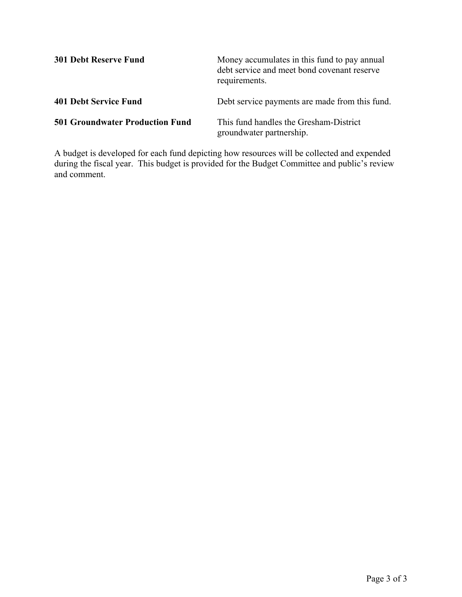| <b>301 Debt Reserve Fund</b>           | Money accumulates in this fund to pay annual<br>debt service and meet bond covenant reserve<br>requirements. |
|----------------------------------------|--------------------------------------------------------------------------------------------------------------|
| <b>401 Debt Service Fund</b>           | Debt service payments are made from this fund.                                                               |
| <b>501 Groundwater Production Fund</b> | This fund handles the Gresham-District<br>groundwater partnership.                                           |

A budget is developed for each fund depicting how resources will be collected and expended during the fiscal year. This budget is provided for the Budget Committee and public's review and comment.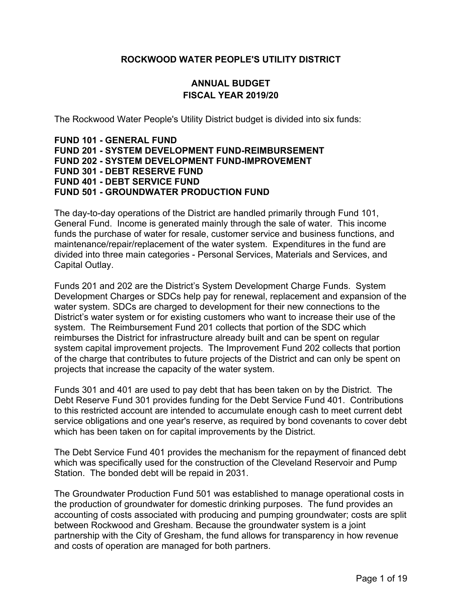## **ROCKWOOD WATER PEOPLE'S UTILITY DISTRICT**

## **ANNUAL BUDGET FISCAL YEAR 2019/20**

The Rockwood Water People's Utility District budget is divided into six funds:

### **FUND 101 - GENERAL FUND FUND 201 - SYSTEM DEVELOPMENT FUND-REIMBURSEMENT FUND 202 - SYSTEM DEVELOPMENT FUND-IMPROVEMENT FUND 301 - DEBT RESERVE FUND FUND 401 - DEBT SERVICE FUND FUND 501 - GROUNDWATER PRODUCTION FUND**

The day-to-day operations of the District are handled primarily through Fund 101, General Fund. Income is generated mainly through the sale of water. This income funds the purchase of water for resale, customer service and business functions, and maintenance/repair/replacement of the water system. Expenditures in the fund are divided into three main categories - Personal Services, Materials and Services, and Capital Outlay.

Funds 201 and 202 are the District's System Development Charge Funds. System Development Charges or SDCs help pay for renewal, replacement and expansion of the water system. SDCs are charged to development for their new connections to the District's water system or for existing customers who want to increase their use of the system. The Reimbursement Fund 201 collects that portion of the SDC which reimburses the District for infrastructure already built and can be spent on regular system capital improvement projects. The Improvement Fund 202 collects that portion of the charge that contributes to future projects of the District and can only be spent on projects that increase the capacity of the water system.

Funds 301 and 401 are used to pay debt that has been taken on by the District. The Debt Reserve Fund 301 provides funding for the Debt Service Fund 401. Contributions to this restricted account are intended to accumulate enough cash to meet current debt service obligations and one year's reserve, as required by bond covenants to cover debt which has been taken on for capital improvements by the District.

The Debt Service Fund 401 provides the mechanism for the repayment of financed debt which was specifically used for the construction of the Cleveland Reservoir and Pump Station. The bonded debt will be repaid in 2031.

The Groundwater Production Fund 501 was established to manage operational costs in the production of groundwater for domestic drinking purposes. The fund provides an accounting of costs associated with producing and pumping groundwater; costs are split between Rockwood and Gresham. Because the groundwater system is a joint partnership with the City of Gresham, the fund allows for transparency in how revenue and costs of operation are managed for both partners.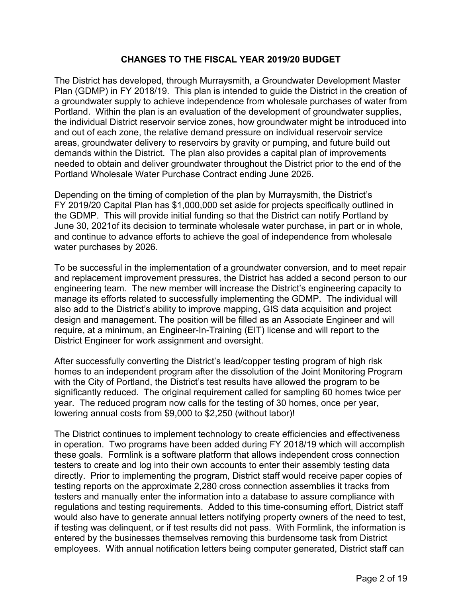## **CHANGES TO THE FISCAL YEAR 2019/20 BUDGET**

The District has developed, through Murraysmith, a Groundwater Development Master Plan (GDMP) in FY 2018/19. This plan is intended to guide the District in the creation of a groundwater supply to achieve independence from wholesale purchases of water from Portland. Within the plan is an evaluation of the development of groundwater supplies, the individual District reservoir service zones, how groundwater might be introduced into and out of each zone, the relative demand pressure on individual reservoir service areas, groundwater delivery to reservoirs by gravity or pumping, and future build out demands within the District. The plan also provides a capital plan of improvements needed to obtain and deliver groundwater throughout the District prior to the end of the Portland Wholesale Water Purchase Contract ending June 2026.

Depending on the timing of completion of the plan by Murraysmith, the District's FY 2019/20 Capital Plan has \$1,000,000 set aside for projects specifically outlined in the GDMP. This will provide initial funding so that the District can notify Portland by June 30, 2021of its decision to terminate wholesale water purchase, in part or in whole, and continue to advance efforts to achieve the goal of independence from wholesale water purchases by 2026.

To be successful in the implementation of a groundwater conversion, and to meet repair and replacement improvement pressures, the District has added a second person to our engineering team. The new member will increase the District's engineering capacity to manage its efforts related to successfully implementing the GDMP. The individual will also add to the District's ability to improve mapping, GIS data acquisition and project design and management. The position will be filled as an Associate Engineer and will require, at a minimum, an Engineer-In-Training (EIT) license and will report to the District Engineer for work assignment and oversight.

After successfully converting the District's lead/copper testing program of high risk homes to an independent program after the dissolution of the Joint Monitoring Program with the City of Portland, the District's test results have allowed the program to be significantly reduced. The original requirement called for sampling 60 homes twice per year. The reduced program now calls for the testing of 30 homes, once per year, lowering annual costs from \$9,000 to \$2,250 (without labor)!

The District continues to implement technology to create efficiencies and effectiveness in operation. Two programs have been added during FY 2018/19 which will accomplish these goals. Formlink is a software platform that allows independent cross connection testers to create and log into their own accounts to enter their assembly testing data directly. Prior to implementing the program, District staff would receive paper copies of testing reports on the approximate 2,280 cross connection assemblies it tracks from testers and manually enter the information into a database to assure compliance with regulations and testing requirements. Added to this time-consuming effort, District staff would also have to generate annual letters notifying property owners of the need to test, if testing was delinquent, or if test results did not pass. With Formlink, the information is entered by the businesses themselves removing this burdensome task from District employees. With annual notification letters being computer generated, District staff can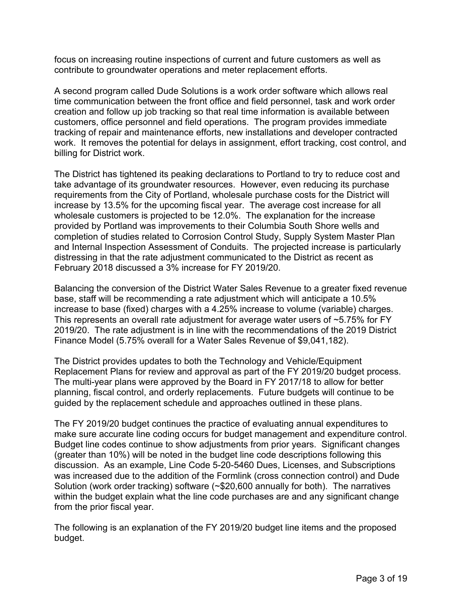focus on increasing routine inspections of current and future customers as well as contribute to groundwater operations and meter replacement efforts.

A second program called Dude Solutions is a work order software which allows real time communication between the front office and field personnel, task and work order creation and follow up job tracking so that real time information is available between customers, office personnel and field operations. The program provides immediate tracking of repair and maintenance efforts, new installations and developer contracted work. It removes the potential for delays in assignment, effort tracking, cost control, and billing for District work.

The District has tightened its peaking declarations to Portland to try to reduce cost and take advantage of its groundwater resources. However, even reducing its purchase requirements from the City of Portland, wholesale purchase costs for the District will increase by 13.5% for the upcoming fiscal year. The average cost increase for all wholesale customers is projected to be 12.0%. The explanation for the increase provided by Portland was improvements to their Columbia South Shore wells and completion of studies related to Corrosion Control Study, Supply System Master Plan and Internal Inspection Assessment of Conduits. The projected increase is particularly distressing in that the rate adjustment communicated to the District as recent as February 2018 discussed a 3% increase for FY 2019/20.

Balancing the conversion of the District Water Sales Revenue to a greater fixed revenue base, staff will be recommending a rate adjustment which will anticipate a 10.5% increase to base (fixed) charges with a 4.25% increase to volume (variable) charges. This represents an overall rate adjustment for average water users of ~5.75% for FY 2019/20. The rate adjustment is in line with the recommendations of the 2019 District Finance Model (5.75% overall for a Water Sales Revenue of \$9,041,182).

The District provides updates to both the Technology and Vehicle/Equipment Replacement Plans for review and approval as part of the FY 2019/20 budget process. The multi-year plans were approved by the Board in FY 2017/18 to allow for better planning, fiscal control, and orderly replacements. Future budgets will continue to be guided by the replacement schedule and approaches outlined in these plans.

The FY 2019/20 budget continues the practice of evaluating annual expenditures to make sure accurate line coding occurs for budget management and expenditure control. Budget line codes continue to show adjustments from prior years. Significant changes (greater than 10%) will be noted in the budget line code descriptions following this discussion. As an example, Line Code 5-20-5460 Dues, Licenses, and Subscriptions was increased due to the addition of the Formlink (cross connection control) and Dude Solution (work order tracking) software (~\$20,600 annually for both). The narratives within the budget explain what the line code purchases are and any significant change from the prior fiscal year.

The following is an explanation of the FY 2019/20 budget line items and the proposed budget.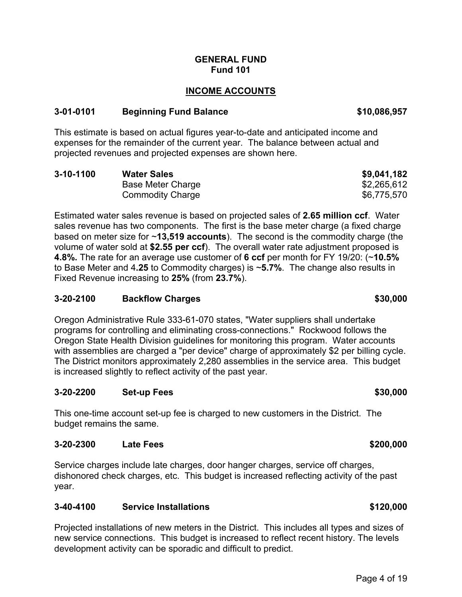#### **GENERAL FUND Fund 101**

## **INCOME ACCOUNTS**

### **3-01-0101 Beginning Fund Balance \$10,086,957**

This estimate is based on actual figures year-to-date and anticipated income and expenses for the remainder of the current year. The balance between actual and projected revenues and projected expenses are shown here.

| $3 - 10 - 1100$ | <b>Water Sales</b>      | \$9,041,182 |
|-----------------|-------------------------|-------------|
|                 | Base Meter Charge       | \$2,265,612 |
|                 | <b>Commodity Charge</b> | \$6,775,570 |

Estimated water sales revenue is based on projected sales of **2.65 million ccf**. Water sales revenue has two components. The first is the base meter charge (a fixed charge based on meter size for ~**13,519 accounts**). The second is the commodity charge (the volume of water sold at **\$2.55 per ccf**). The overall water rate adjustment proposed is **4.8%.** The rate for an average use customer of **6 ccf** per month for FY 19/20: (~**10.5%** to Base Meter and 4**.25** to Commodity charges) is ~**5.7%**. The change also results in Fixed Revenue increasing to **25%** (from **23.7%**).

### **3-20-2100 Backflow Charges \$30,000**

Oregon Administrative Rule 333-61-070 states, "Water suppliers shall undertake programs for controlling and eliminating cross-connections." Rockwood follows the Oregon State Health Division guidelines for monitoring this program. Water accounts with assemblies are charged a "per device" charge of approximately \$2 per billing cycle. The District monitors approximately 2,280 assemblies in the service area. This budget is increased slightly to reflect activity of the past year.

#### **3-20-2200 Set-up Fees \$30,000**

This one-time account set-up fee is charged to new customers in the District. The budget remains the same.

#### **3-20-2300 Late Fees \$200,000 CLACK CONSUMING A SAMPLE 200.000 CONSUMING A SAMPLE 200.000**

Service charges include late charges, door hanger charges, service off charges, dishonored check charges, etc. This budget is increased reflecting activity of the past year.

#### **3-40-4100 Service Installations \$120,000**

Projected installations of new meters in the District. This includes all types and sizes of new service connections. This budget is increased to reflect recent history. The levels development activity can be sporadic and difficult to predict.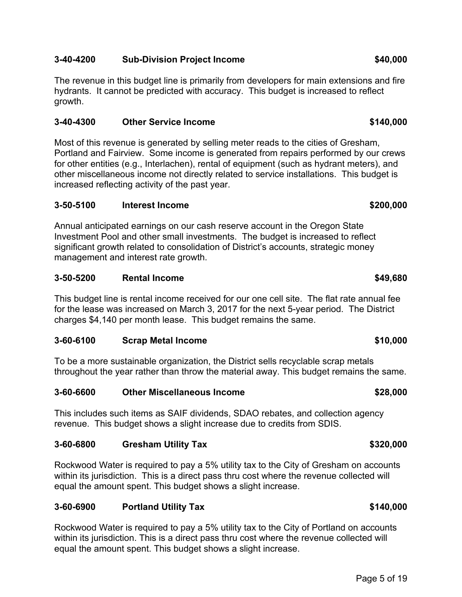## **3-40-4200 Sub-Division Project Income \$40,000**

The revenue in this budget line is primarily from developers for main extensions and fire hydrants. It cannot be predicted with accuracy. This budget is increased to reflect growth.

## **3-40-4300 Other Service Income \$140,000**

Most of this revenue is generated by selling meter reads to the cities of Gresham, Portland and Fairview. Some income is generated from repairs performed by our crews for other entities (e.g., Interlachen), rental of equipment (such as hydrant meters), and other miscellaneous income not directly related to service installations. This budget is increased reflecting activity of the past year.

## **3-50-5100 Interest Income \$200,000**

Annual anticipated earnings on our cash reserve account in the Oregon State Investment Pool and other small investments. The budget is increased to reflect significant growth related to consolidation of District's accounts, strategic money management and interest rate growth.

## **3-50-5200 Rental Income \$49,680**

This budget line is rental income received for our one cell site. The flat rate annual fee for the lease was increased on March 3, 2017 for the next 5-year period. The District charges \$4,140 per month lease. This budget remains the same.

## **3-60-6100 Scrap Metal Income \$10,000**

To be a more sustainable organization, the District sells recyclable scrap metals throughout the year rather than throw the material away. This budget remains the same.

## **3-60-6600 Other Miscellaneous Income \$28,000**

This includes such items as SAIF dividends, SDAO rebates, and collection agency revenue. This budget shows a slight increase due to credits from SDIS.

## **3-60-6800 Gresham Utility Tax \$320,000**

Rockwood Water is required to pay a 5% utility tax to the City of Gresham on accounts within its jurisdiction. This is a direct pass thru cost where the revenue collected will equal the amount spent. This budget shows a slight increase.

## **3-60-6900 Portland Utility Tax \$140,000**

Rockwood Water is required to pay a 5% utility tax to the City of Portland on accounts within its jurisdiction. This is a direct pass thru cost where the revenue collected will equal the amount spent. This budget shows a slight increase.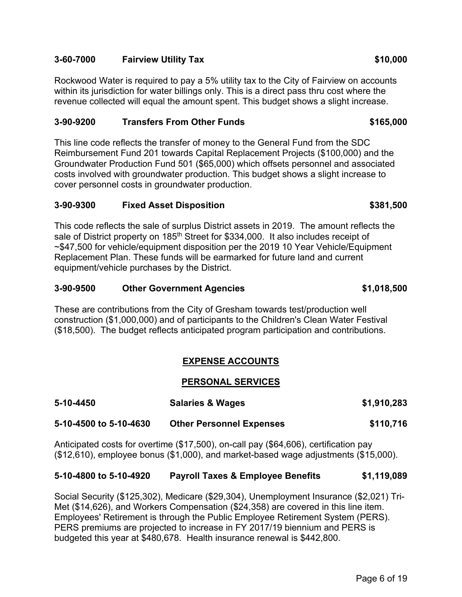## **3-60-7000 Fairview Utility Tax \$10,000**

Rockwood Water is required to pay a 5% utility tax to the City of Fairview on accounts within its jurisdiction for water billings only. This is a direct pass thru cost where the revenue collected will equal the amount spent. This budget shows a slight increase.

## **3-90-9200 Transfers From Other Funds \$165,000**

This line code reflects the transfer of money to the General Fund from the SDC Reimbursement Fund 201 towards Capital Replacement Projects (\$100,000) and the Groundwater Production Fund 501 (\$65,000) which offsets personnel and associated costs involved with groundwater production. This budget shows a slight increase to cover personnel costs in groundwater production.

### **3-90-9300 Fixed Asset Disposition \$381,500**

This code reflects the sale of surplus District assets in 2019. The amount reflects the sale of District property on 185<sup>th</sup> Street for \$334,000. It also includes receipt of ~\$47,500 for vehicle/equipment disposition per the 2019 10 Year Vehicle/Equipment Replacement Plan. These funds will be earmarked for future land and current equipment/vehicle purchases by the District.

## **3-90-9500 Other Government Agencies \$1,018,500**

These are contributions from the City of Gresham towards test/production well construction (\$1,000,000) and of participants to the Children's Clean Water Festival (\$18,500). The budget reflects anticipated program participation and contributions.

## **EXPENSE ACCOUNTS**

### **PERSONAL SERVICES**

| 5-10-4450              | <b>Salaries &amp; Wages</b>     | \$1,910,283 |
|------------------------|---------------------------------|-------------|
| 5-10-4500 to 5-10-4630 | <b>Other Personnel Expenses</b> | \$110,716   |

Anticipated costs for overtime (\$17,500), on-call pay (\$64,606), certification pay (\$12,610), employee bonus (\$1,000), and market-based wage adjustments (\$15,000).

### **5-10-4800 to 5-10-4920 Payroll Taxes & Employee Benefits \$1,119,089**

Social Security (\$125,302), Medicare (\$29,304), Unemployment Insurance (\$2,021) Tri-Met (\$14,626), and Workers Compensation (\$24,358) are covered in this line item. Employees' Retirement is through the Public Employee Retirement System (PERS). PERS premiums are projected to increase in FY 2017/19 biennium and PERS is budgeted this year at \$480,678. Health insurance renewal is \$442,800.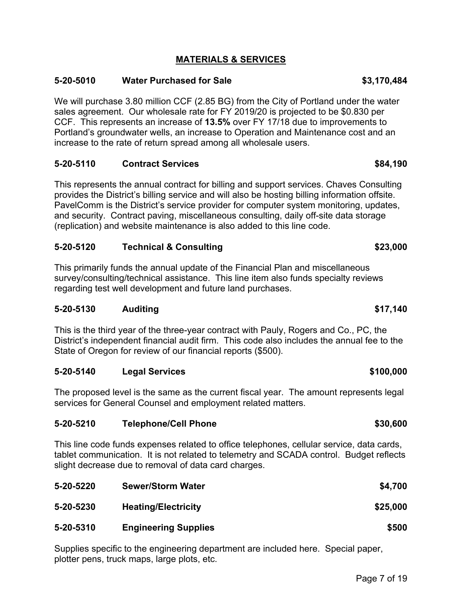## **MATERIALS & SERVICES**

## **5-20-5010 Water Purchased for Sale \$3,170,484**

We will purchase 3.80 million CCF (2.85 BG) from the City of Portland under the water sales agreement. Our wholesale rate for FY 2019/20 is projected to be \$0.830 per CCF. This represents an increase of **13.5%** over FY 17/18 due to improvements to Portland's groundwater wells, an increase to Operation and Maintenance cost and an increase to the rate of return spread among all wholesale users.

## **5-20-5110 Contract Services \$84,190**

This represents the annual contract for billing and support services. Chaves Consulting provides the District's billing service and will also be hosting billing information offsite. PavelComm is the District's service provider for computer system monitoring, updates, and security. Contract paving, miscellaneous consulting, daily off-site data storage (replication) and website maintenance is also added to this line code.

## **5-20-5120 Technical & Consulting \$23,000**

This primarily funds the annual update of the Financial Plan and miscellaneous survey/consulting/technical assistance. This line item also funds specialty reviews regarding test well development and future land purchases.

### **5-20-5130 Auditing \$17,140**

This is the third year of the three-year contract with Pauly, Rogers and Co., PC, the District's independent financial audit firm. This code also includes the annual fee to the State of Oregon for review of our financial reports (\$500).

### **5-20-5140 Legal Services \$100,000**

The proposed level is the same as the current fiscal year. The amount represents legal services for General Counsel and employment related matters.

### **5-20-5210 Telephone/Cell Phone \$30,600**

This line code funds expenses related to office telephones, cellular service, data cards, tablet communication. It is not related to telemetry and SCADA control. Budget reflects slight decrease due to removal of data card charges.

| 5-20-5220 | <b>Sewer/Storm Water</b>    | \$4,700  |
|-----------|-----------------------------|----------|
| 5-20-5230 | <b>Heating/Electricity</b>  | \$25,000 |
| 5-20-5310 | <b>Engineering Supplies</b> | \$500    |

Supplies specific to the engineering department are included here. Special paper, plotter pens, truck maps, large plots, etc.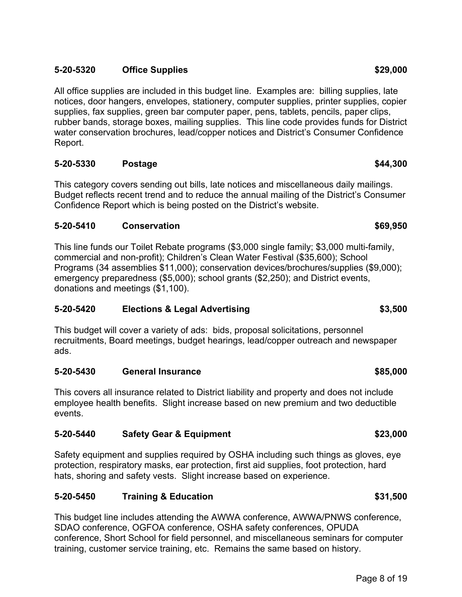## **5-20-5320 Office Supplies \$29,000**

All office supplies are included in this budget line. Examples are: billing supplies, late notices, door hangers, envelopes, stationery, computer supplies, printer supplies, copier supplies, fax supplies, green bar computer paper, pens, tablets, pencils, paper clips, rubber bands, storage boxes, mailing supplies. This line code provides funds for District water conservation brochures, lead/copper notices and District's Consumer Confidence Report.

## **5-20-5330 Postage \$44,300**

This category covers sending out bills, late notices and miscellaneous daily mailings. Budget reflects recent trend and to reduce the annual mailing of the District's Consumer Confidence Report which is being posted on the District's website.

### **5-20-5410 Conservation \$69,950**

This line funds our Toilet Rebate programs (\$3,000 single family; \$3,000 multi-family, commercial and non-profit); Children's Clean Water Festival (\$35,600); School Programs (34 assemblies \$11,000); conservation devices/brochures/supplies (\$9,000); emergency preparedness (\$5,000); school grants (\$2,250); and District events, donations and meetings (\$1,100).

### **5-20-5420 Elections & Legal Advertising \$3,500**

This budget will cover a variety of ads: bids, proposal solicitations, personnel recruitments, Board meetings, budget hearings, lead/copper outreach and newspaper ads.

#### **5-20-5430 General Insurance \$85,000**

This covers all insurance related to District liability and property and does not include employee health benefits. Slight increase based on new premium and two deductible events.

#### **5-20-5440 Safety Gear & Equipment \$23,000**

Safety equipment and supplies required by OSHA including such things as gloves, eye protection, respiratory masks, ear protection, first aid supplies, foot protection, hard hats, shoring and safety vests. Slight increase based on experience.

### **5-20-5450 Training & Education \$31,500**

This budget line includes attending the AWWA conference, AWWA/PNWS conference, SDAO conference, OGFOA conference, OSHA safety conferences, OPUDA conference, Short School for field personnel, and miscellaneous seminars for computer training, customer service training, etc. Remains the same based on history.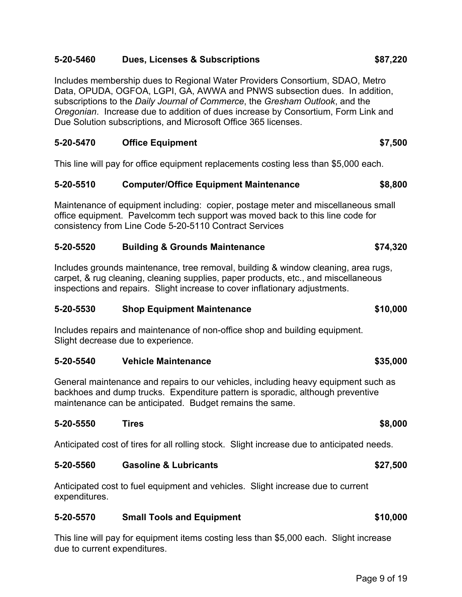## **5-20-5460 Dues, Licenses & Subscriptions \$87,220**

Includes membership dues to Regional Water Providers Consortium, SDAO, Metro Data, OPUDA, OGFOA, LGPI, GA, AWWA and PNWS subsection dues. In addition, subscriptions to the *Daily Journal of Commerce*, the *Gresham Outlook*, and the *Oregonian*. Increase due to addition of dues increase by Consortium, Form Link and Due Solution subscriptions, and Microsoft Office 365 licenses.

### **5-20-5470 Office Equipment \$7,500**

This line will pay for office equipment replacements costing less than \$5,000 each.

#### **5-20-5510 Computer/Office Equipment Maintenance \$8,800**

Maintenance of equipment including: copier, postage meter and miscellaneous small office equipment. Pavelcomm tech support was moved back to this line code for consistency from Line Code 5-20-5110 Contract Services

### **5-20-5520 Building & Grounds Maintenance \$74,320**

Includes grounds maintenance, tree removal, building & window cleaning, area rugs, carpet, & rug cleaning, cleaning supplies, paper products, etc., and miscellaneous inspections and repairs. Slight increase to cover inflationary adjustments.

### **5-20-5530 Shop Equipment Maintenance \$10,000**

Includes repairs and maintenance of non-office shop and building equipment. Slight decrease due to experience.

### **5-20-5540 Vehicle Maintenance \$35,000**

General maintenance and repairs to our vehicles, including heavy equipment such as backhoes and dump trucks. Expenditure pattern is sporadic, although preventive maintenance can be anticipated. Budget remains the same.

#### **5-20-5550 Tires \$8,000**

Anticipated cost of tires for all rolling stock. Slight increase due to anticipated needs.

#### **5-20-5560 Gasoline & Lubricants \$27,500**

Anticipated cost to fuel equipment and vehicles. Slight increase due to current expenditures.

#### **5-20-5570 Small Tools and Equipment \$10,000**

This line will pay for equipment items costing less than \$5,000 each. Slight increase due to current expenditures.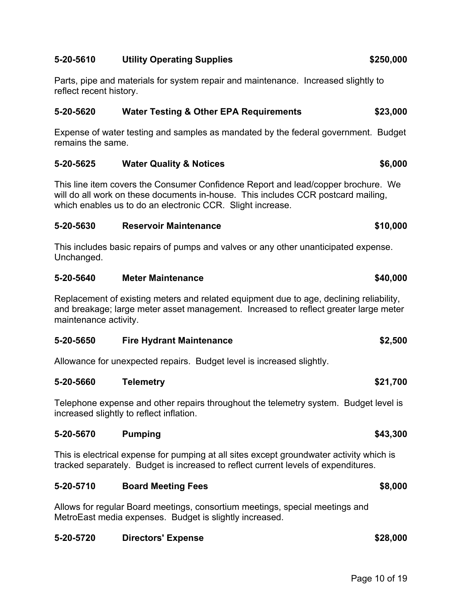### **5-20-5610 Utility Operating Supplies \$250,000**

Parts, pipe and materials for system repair and maintenance. Increased slightly to reflect recent history.

#### **5-20-5620 Water Testing & Other EPA Requirements \$23,000**

Expense of water testing and samples as mandated by the federal government. Budget remains the same.

### **5-20-5625 Water Quality & Notices \$6,000**

This line item covers the Consumer Confidence Report and lead/copper brochure. We will do all work on these documents in-house. This includes CCR postcard mailing, which enables us to do an electronic CCR. Slight increase.

#### **5-20-5630 Reservoir Maintenance \$10,000**

This includes basic repairs of pumps and valves or any other unanticipated expense. Unchanged.

#### **5-20-5640 Meter Maintenance \$40,000**

Replacement of existing meters and related equipment due to age, declining reliability, and breakage; large meter asset management. Increased to reflect greater large meter maintenance activity.

### **5-20-5650 Fire Hydrant Maintenance \$2,500**

Allowance for unexpected repairs. Budget level is increased slightly.

#### **5-20-5660 Telemetry \$21,700**

Telephone expense and other repairs throughout the telemetry system. Budget level is increased slightly to reflect inflation.

#### **5-20-5670 Pumping \$43,300**

This is electrical expense for pumping at all sites except groundwater activity which is tracked separately. Budget is increased to reflect current levels of expenditures.

#### **5-20-5710 Board Meeting Fees \$8,000**

Allows for regular Board meetings, consortium meetings, special meetings and MetroEast media expenses. Budget is slightly increased.

#### **5-20-5720 Directors' Expense \$28,000**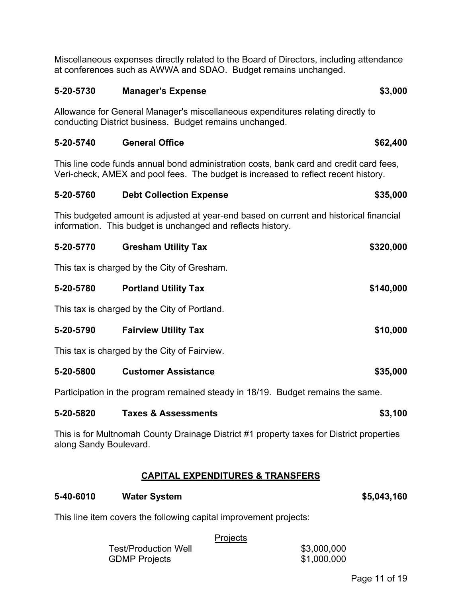Miscellaneous expenses directly related to the Board of Directors, including attendance at conferences such as AWWA and SDAO. Budget remains unchanged.

#### **5-20-5730 Manager's Expense \$3,000**

Allowance for General Manager's miscellaneous expenditures relating directly to conducting District business. Budget remains unchanged.

#### **5-20-5740 General Office \$62,400**

This line code funds annual bond administration costs, bank card and credit card fees, Veri-check, AMEX and pool fees. The budget is increased to reflect recent history.

## **5-20-5760 Debt Collection Expense \$35,000**

This budgeted amount is adjusted at year-end based on current and historical financial information. This budget is unchanged and reflects history.

| 5-20-5770 | <b>Gresham Utility Tax</b>                  | \$320,000 |
|-----------|---------------------------------------------|-----------|
|           | This tax is charged by the City of Gresham. |           |

| 5-20-5780 | <b>Portland Utility Tax</b> | \$140,000 |
|-----------|-----------------------------|-----------|

This tax is charged by the City of Portland.

| 5-20-5790 | <b>Fairview Utility Tax</b> | \$10,000 |
|-----------|-----------------------------|----------|
|           |                             |          |

This tax is charged by the City of Fairview.

**5-20-5800 Customer Assistance \$35,000** 

Participation in the program remained steady in 18/19. Budget remains the same.

#### **5-20-5820 Taxes & Assessments \$3,100**

This is for Multnomah County Drainage District #1 property taxes for District properties along Sandy Boulevard.

### **CAPITAL EXPENDITURES & TRANSFERS**

#### **5-40-6010 Water System \$5,043,160**

This line item covers the following capital improvement projects:

#### **Projects**

Test/Production Well \$3,000,000 GDMP Projects \$1,000,000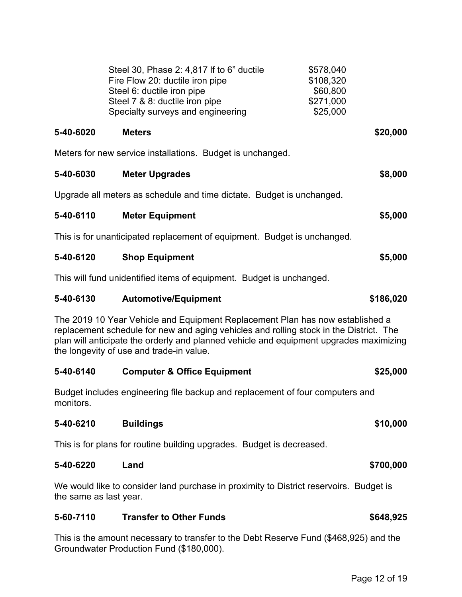|                                                                                                                                                                                                                                                                                                               | Steel 30, Phase 2: 4,817 If to 6" ductile<br>Fire Flow 20: ductile iron pipe<br>Steel 6: ductile iron pipe<br>Steel 7 & 8: ductile iron pipe<br>Specialty surveys and engineering | \$578,040<br>\$108,320<br>\$60,800<br>\$271,000<br>\$25,000 |  |
|---------------------------------------------------------------------------------------------------------------------------------------------------------------------------------------------------------------------------------------------------------------------------------------------------------------|-----------------------------------------------------------------------------------------------------------------------------------------------------------------------------------|-------------------------------------------------------------|--|
| 5-40-6020                                                                                                                                                                                                                                                                                                     | <b>Meters</b>                                                                                                                                                                     | \$20,000                                                    |  |
|                                                                                                                                                                                                                                                                                                               | Meters for new service installations. Budget is unchanged.                                                                                                                        |                                                             |  |
| 5-40-6030                                                                                                                                                                                                                                                                                                     | <b>Meter Upgrades</b>                                                                                                                                                             | \$8,000                                                     |  |
|                                                                                                                                                                                                                                                                                                               | Upgrade all meters as schedule and time dictate. Budget is unchanged.                                                                                                             |                                                             |  |
| 5-40-6110                                                                                                                                                                                                                                                                                                     | <b>Meter Equipment</b>                                                                                                                                                            | \$5,000                                                     |  |
|                                                                                                                                                                                                                                                                                                               | This is for unanticipated replacement of equipment. Budget is unchanged.                                                                                                          |                                                             |  |
| 5-40-6120                                                                                                                                                                                                                                                                                                     | <b>Shop Equipment</b>                                                                                                                                                             | \$5,000                                                     |  |
|                                                                                                                                                                                                                                                                                                               | This will fund unidentified items of equipment. Budget is unchanged.                                                                                                              |                                                             |  |
| 5-40-6130                                                                                                                                                                                                                                                                                                     | <b>Automotive/Equipment</b>                                                                                                                                                       | \$186,020                                                   |  |
| The 2019 10 Year Vehicle and Equipment Replacement Plan has now established a<br>replacement schedule for new and aging vehicles and rolling stock in the District. The<br>plan will anticipate the orderly and planned vehicle and equipment upgrades maximizing<br>the longevity of use and trade-in value. |                                                                                                                                                                                   |                                                             |  |
| 5-40-6140                                                                                                                                                                                                                                                                                                     | <b>Computer &amp; Office Equipment</b>                                                                                                                                            | \$25,000                                                    |  |
| Budget includes engineering file backup and replacement of four computers and<br>monitors.                                                                                                                                                                                                                    |                                                                                                                                                                                   |                                                             |  |
| 5-40-6210                                                                                                                                                                                                                                                                                                     | <b>Buildings</b>                                                                                                                                                                  | \$10,000                                                    |  |
|                                                                                                                                                                                                                                                                                                               | This is for plans for routine building upgrades. Budget is decreased.                                                                                                             |                                                             |  |
| 5-40-6220                                                                                                                                                                                                                                                                                                     | Land                                                                                                                                                                              | \$700,000                                                   |  |
| We would like to consider land purchase in proximity to District reservoirs. Budget is<br>the same as last year.                                                                                                                                                                                              |                                                                                                                                                                                   |                                                             |  |
| 5-60-7110                                                                                                                                                                                                                                                                                                     | <b>Transfer to Other Funds</b>                                                                                                                                                    | \$648,925                                                   |  |
| This is the amount necessary to transfer to the Debt Reserve Fund (\$468,925) and the<br>Groundwater Production Fund (\$180,000).                                                                                                                                                                             |                                                                                                                                                                                   |                                                             |  |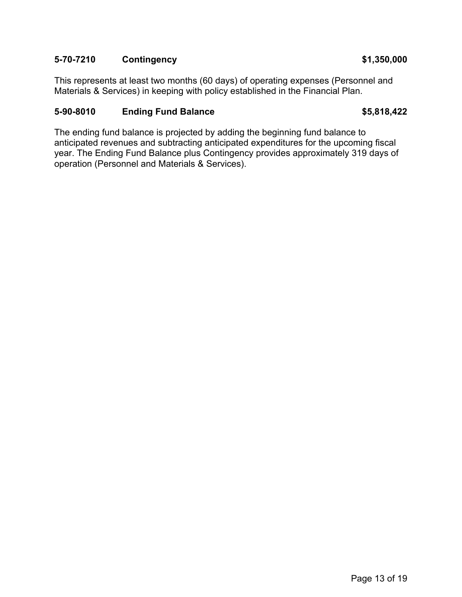## **5-70-7210 Contingency \$1,350,000**

This represents at least two months (60 days) of operating expenses (Personnel and Materials & Services) in keeping with policy established in the Financial Plan.

## **5-90-8010 Ending Fund Balance \$5,818,422**

The ending fund balance is projected by adding the beginning fund balance to anticipated revenues and subtracting anticipated expenditures for the upcoming fiscal year. The Ending Fund Balance plus Contingency provides approximately 319 days of operation (Personnel and Materials & Services).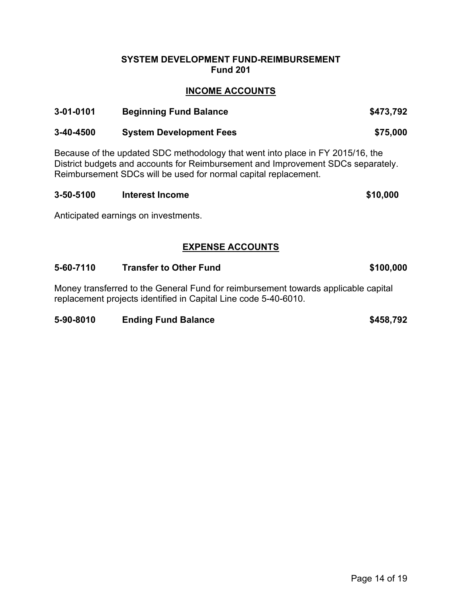#### **SYSTEM DEVELOPMENT FUND-REIMBURSEMENT Fund 201**

## **INCOME ACCOUNTS**

| 3-01-0101 | <b>Beginning Fund Balance</b>  | \$473,792 |
|-----------|--------------------------------|-----------|
| 3-40-4500 | <b>System Development Fees</b> | \$75,000  |

Because of the updated SDC methodology that went into place in FY 2015/16, the District budgets and accounts for Reimbursement and Improvement SDCs separately. Reimbursement SDCs will be used for normal capital replacement.

| 3-50-5100 | Interest Income | \$10,000 |
|-----------|-----------------|----------|
|           |                 |          |

Anticipated earnings on investments.

## **EXPENSE ACCOUNTS**

#### **5-60-7110 Transfer to Other Fund \$100,000**

Money transferred to the General Fund for reimbursement towards applicable capital replacement projects identified in Capital Line code 5-40-6010.

#### **5-90-8010 Ending Fund Balance \$458,792**

Page 14 of 19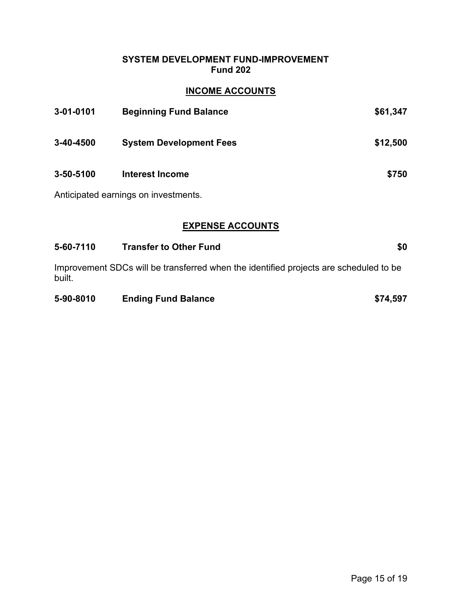## **SYSTEM DEVELOPMENT FUND-IMPROVEMENT Fund 202**

## **INCOME ACCOUNTS**

| 3-01-0101 | <b>Beginning Fund Balance</b>        | \$61,347 |
|-----------|--------------------------------------|----------|
| 3-40-4500 | <b>System Development Fees</b>       | \$12,500 |
| 3-50-5100 | Interest Income                      | \$750    |
|           | Anticipated earnings on investments. |          |

## **EXPENSE ACCOUNTS**

| 5-60-7110 | <b>Transfer to Other Fund</b> | \$0 |
|-----------|-------------------------------|-----|
|-----------|-------------------------------|-----|

Improvement SDCs will be transferred when the identified projects are scheduled to be built.

| 5-90-8010 | <b>Ending Fund Balance</b> | \$74,597 |
|-----------|----------------------------|----------|
|           |                            |          |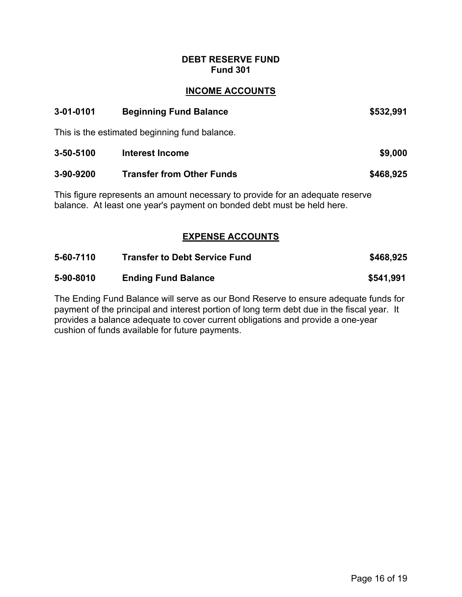### **DEBT RESERVE FUND Fund 301**

## **INCOME ACCOUNTS**

| 3-01-0101 | <b>Beginning Fund Balance</b>                                                                                                                                                                        | \$532,991 |
|-----------|------------------------------------------------------------------------------------------------------------------------------------------------------------------------------------------------------|-----------|
|           | This is the estimated beginning fund balance.                                                                                                                                                        |           |
| 3-50-5100 | <b>Interest Income</b>                                                                                                                                                                               | \$9,000   |
| 3-90-9200 | <b>Transfer from Other Funds</b>                                                                                                                                                                     | \$468,925 |
|           | This figure represents an amount necessary to provide for an adequate reserve<br>balance. At least one year's payment on bonded debt must be held here.                                              |           |
|           | <b>EXPENSE ACCOUNTS</b>                                                                                                                                                                              |           |
| 5-60-7110 | <b>Transfer to Debt Service Fund</b>                                                                                                                                                                 | \$468,925 |
| 5-90-8010 | <b>Ending Fund Balance</b>                                                                                                                                                                           | \$541,991 |
|           | The Ending Fund Balance will serve as our Bond Reserve to ensure adequate funds for<br>بالمستحين المممئة لملطا لمترام بالمطماء المسمة سمرها فمراسي والممسوح والمستحدث والمستحدث والمسار فاستحدث بماد |           |

payment of the principal and interest portion of long term debt due in the fiscal year. It provides a balance adequate to cover current obligations and provide a one-year cushion of funds available for future payments.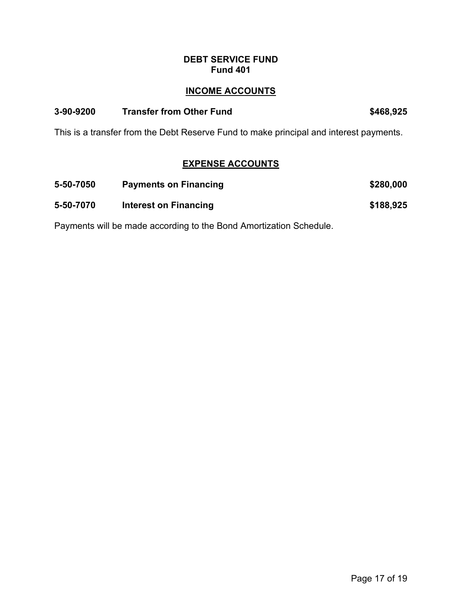## **DEBT SERVICE FUND Fund 401**

## **INCOME ACCOUNTS**

### **3-90-9200 Transfer from Other Fund \$468,925**

This is a transfer from the Debt Reserve Fund to make principal and interest payments.

## **EXPENSE ACCOUNTS**

| 5-50-7050 | <b>Payments on Financing</b> | \$280,000 |
|-----------|------------------------------|-----------|
| 5-50-7070 | Interest on Financing        | \$188,925 |

Payments will be made according to the Bond Amortization Schedule.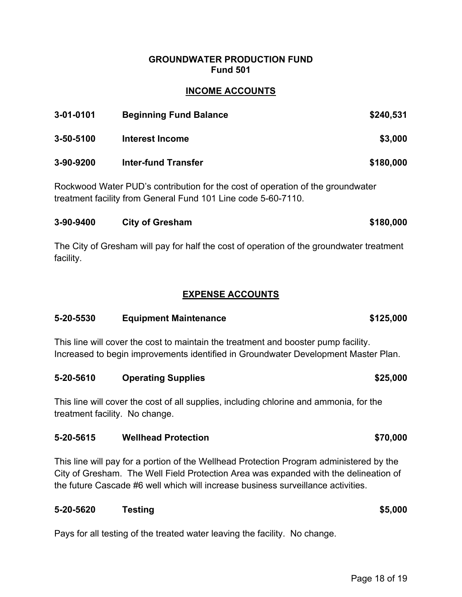### **GROUNDWATER PRODUCTION FUND Fund 501**

## **INCOME ACCOUNTS**

| 3-01-0101       | <b>Beginning Fund Balance</b> | \$240,531 |
|-----------------|-------------------------------|-----------|
| $3 - 50 - 5100$ | Interest Income               | \$3,000   |
| 3-90-9200       | <b>Inter-fund Transfer</b>    | \$180,000 |

Rockwood Water PUD's contribution for the cost of operation of the groundwater treatment facility from General Fund 101 Line code 5-60-7110.

| 3-90-9400 | City of Gresham | \$180,000 |
|-----------|-----------------|-----------|
|           |                 |           |

The City of Gresham will pay for half the cost of operation of the groundwater treatment facility.

## **EXPENSE ACCOUNTS**

## **5-20-5530 Equipment Maintenance \$125,000**

This line will cover the cost to maintain the treatment and booster pump facility. Increased to begin improvements identified in Groundwater Development Master Plan.

**5-20-5610 Operating Supplies \$25,000** 

This line will cover the cost of all supplies, including chlorine and ammonia, for the treatment facility. No change.

## **5-20-5615 Wellhead Protection \$70,000**

This line will pay for a portion of the Wellhead Protection Program administered by the City of Gresham. The Well Field Protection Area was expanded with the delineation of the future Cascade #6 well which will increase business surveillance activities.

## **5-20-5620 Testing \$5,000**

Pays for all testing of the treated water leaving the facility. No change.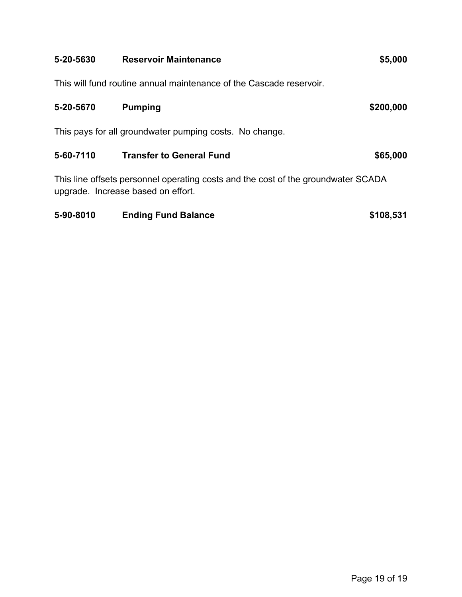| 5-20-5630 | <b>Reservoir Maintenance</b>                                                                                            | \$5,000   |
|-----------|-------------------------------------------------------------------------------------------------------------------------|-----------|
|           | This will fund routine annual maintenance of the Cascade reservoir.                                                     |           |
| 5-20-5670 | <b>Pumping</b>                                                                                                          | \$200,000 |
|           | This pays for all groundwater pumping costs. No change.                                                                 |           |
| 5-60-7110 | <b>Transfer to General Fund</b>                                                                                         | \$65,000  |
|           | This line offsets personnel operating costs and the cost of the groundwater SCADA<br>upgrade. Increase based on effort. |           |

# **5-90-8010 Ending Fund Balance \$108,531**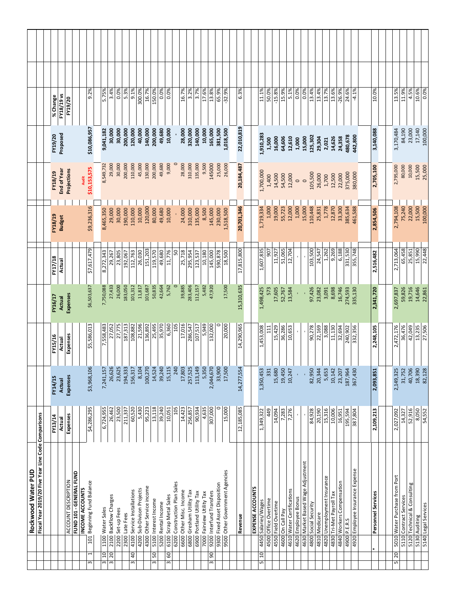| Rockwood Water PUD                                                   |                   |                    |                    |                   |                   |                    |                       |                    |              |  |
|----------------------------------------------------------------------|-------------------|--------------------|--------------------|-------------------|-------------------|--------------------|-----------------------|--------------------|--------------|--|
| Fiscal Year 2019/20 Five Year Line Code Comparisons                  |                   |                    |                    |                   |                   |                    |                       |                    |              |  |
|                                                                      | FY13/14           | FY14/15            | FY15/16            | FY16/17           | FY17/18           | FY18/19            | FY18/19               | FY19/20            | % Change     |  |
|                                                                      | Actual            | Actual             | Actual             | <b>Actual</b>     | Actual            | <b>Budget</b>      | End of Year           | Proposed           | FY18/19 vs   |  |
| ACCOUNT DESCRIPTION                                                  | Expenses          | Expenses           | Expenses           | Expenses          |                   |                    | Projections           |                    | FY19/20      |  |
| FUND 101 - GENERAL FUND                                              |                   |                    |                    |                   |                   |                    |                       |                    |              |  |
| 101 Beginning Fund Balance<br>INCOME ACCOUNTS<br>$\overline{ }$<br>w | \$4,286,295       | \$3,968,106        | \$5,586,013        | \$6,503,637       | \$7,617,479       | \$9,236,316        | \$10,153,575<br>Audit | \$10,086,957       | 9.2%         |  |
|                                                                      |                   |                    |                    |                   |                   |                    |                       |                    |              |  |
| 1100 Water Sales<br>$10 \,$<br>3                                     | 6,724,955         | 7,241,157          | 7,558,483          | 7,750,088         | 8,272,343         | 8,465,350          | 8,549,732             | 9,041,182          | 5.75%        |  |
| 2100 Backflow Charges<br>20<br>3                                     | 26,462            | 26,626             | 27,052             | 27,433            | 29,267            | 29,000             | 29,000                | 30,000             | 3.4%         |  |
| 2200 Set-up Fees                                                     | 23,500            | 23,625             | 27,775             | 26,000            | 23,805            | 30,000             | 30,000                | 30,000             | 0.0%         |  |
| 2300 Late Fees                                                       | 211,337           | 194,333            | 187,313            | 183,050           | 192,067           | 190,000            | 200,000               | 200,000            | 5.3%         |  |
| 4100 Service Installations<br>40<br>3                                | 60,520            | 156,317            | 108,882            | 101,312           | 112,763           | 110,000            | 110,000               | 120,000            | 9.1%         |  |
| 4200 Sub-Divison Projects                                            | 5,430             | 8,104              | 21,596             | 11,817            | 26,030            | 10,000             | 45,000                | 40,000             | 300.0%       |  |
| 4300 Other Service income                                            | 95,223            | 100,270            | 136,892            | 101,687           | 151,203           | 120,000            | 130,000               | 140,000            | 16.7%        |  |
| 5100 Interest Income<br>50<br>ω                                      | 13,118            | 14,524             | 25,495             | 50,835            | 119,570           | 80,000             | 200,000               | 200,000            | 150.0%       |  |
| 5200 Rental Income                                                   | 39,240            | 39,240             | 35,970             | 42,664            | 49,680            | 49,680             | 49,680                | 49,680             | 0.0%         |  |
| 6100 Scrap Metal Sales<br>GO<br>3                                    | 10,051            | 15,115             | 6,360              | 5,762             | 11,776            | 10,000             | 9,000                 | 10,000             | 0.0%         |  |
| 6200 Construction Plan Sales                                         | 105               | 240                | 105                |                   | 50                |                    |                       |                    |              |  |
| 6600 Other Misc. Income<br>6800 Gresham Utility Tax                  | 14,423<br>256,857 | 17,803             | 17,016             | 39,885<br>283,406 | 25,718<br>295,954 | 24,000             | 28,000<br>310,000     | 28,000             | 16.7%        |  |
| 6900 Portland Utility Tax                                            | 90,934            | 257,525<br>113,149 | 286,547<br>107,517 | 112,157           | 123,537           | 135,000<br>310,000 | 135,000               | 140,000<br>320,000 | 3.2%<br>3.7% |  |
|                                                                      |                   |                    |                    |                   |                   |                    |                       |                    |              |  |
| 7000 Fairview Utility Tax                                            | 4,635             | 5,350              | 5,949              | 5,482             | 10,180            | 8,500              | 9,500                 | 10,000             | 17.6%        |  |
| 9200 Interfund Transfers<br>90<br>З                                  | 307,000           | 2,044,670          | 132,000            | 47,920            | 145,000           | 145,000            | 145000                | 165,000            | 13.8%        |  |
| 9300 Fixed Asset Disposition                                         |                   | 33,900             |                    |                   | 590,878           | 230,000            | 25,000                | 381,500            | 65.9%        |  |
| 9500 Other Government Agencies                                       | 15,000            | 17,500             | 20,000             | 17,500            | 18,500            | 1,518,500          | 26,000                | 1,018,500          | $-32.9%$     |  |
|                                                                      |                   |                    |                    |                   |                   |                    |                       |                    |              |  |
| Revenue                                                              | 12,185,085        | 14,277,554         | 14,290,965         | 15,310,635        | 17,815,800        | 20,701,346         | 20,184,487            | 22,010,819         | 6.3%         |  |
| EXPENSE ACCOUNTS                                                     |                   |                    |                    |                   |                   |                    |                       |                    |              |  |
| 4450 Salaries/Wages<br>$\overline{a}$<br>LN                          | 1,349,322         | 1,350,453          | 1,453,008          | 1,498,425         | 1,607,835         | 1,719,334          | 1,700,000             | 1,910,283          | 11.1%        |  |
| 4500 Office Overtime                                                 | 449               | 331                | 111                | 573               | 505               | 1,000              | 1,400                 | 1,500              | 50.0%        |  |
| 4550 Field Overtime                                                  | 14,094            | 15,680             | 15,429             | 17,605            | 11,927            | 19,000             | 14,500                | 16,000             | $-15.8%$     |  |
| 4600 On Call Pay                                                     | 7,283             | 19,450             | 36,286             | 52,767            | 51,065            | 55,723             | 54,500                | 64,606             | 15.9%        |  |
| 4610 Water Certifications                                            | 7.276             | 10,247             | 10,653             | 13,584            | 12,704            | 12,000             | 12,000                | 12,610             | 5.1%         |  |
| 4620 Employee Bonus                                                  | t,                |                    |                    |                   |                   | 1,000              | $\circ$               | 1,000              | 0.0%         |  |
| 4630 Market Based Wage Adjustment                                    |                   |                    |                    |                   |                   | 15,000             | $\circ$               | 15,000             | 0.0%         |  |
| 4800 Social Security                                                 | 84,928            | 82,950             | 90,278             | 97,426            | 103,500           | 110,448            | 105,500               | 125,302            | 13.4%        |  |
| 4810 Medicare                                                        | 20,190            | 20,344             | 22,169             | 23,082            | 24,547            | 25,831             | 26,000                | 29,304             | 13.4%        |  |
| 4820 Unemployment Insurance                                          | 15,316            | 5,653              | 3,088              | 3,091             | 1,262             | 1,778              | 1,700                 | 2,021              | 13.7%        |  |
| 4830 Tri-Met Payroll Tax                                             | 10,006            | 10,142             | 11,130             | 8,698             | 9,269             | 12,870             | 12,500                | 14,626             | 13.6%        |  |
| 4840 Workers Compensation                                            | 16,951            | 23,207             | 32,694             | 16,746            | 6,188             | 33,300             | 22,000                | 24,358             | $-26.9%$     |  |
| 4900 P.E.R.S                                                         | 195,594           | 187,964            | 240,902            | 274,593           | 331,530           | 385,634            | 375,000               | 480,678            | 24.6%        |  |
| 4920 Employee Insurance Expense                                      | 387,804           | 367,430            | 332,356            | 335,130           | 355,748           | 461,588            | 380,000               | 442,800            | $-4.1%$      |  |
|                                                                      |                   |                    |                    |                   |                   |                    |                       |                    |              |  |
| Personnel Services                                                   | 2,109,213         | 2,093,851          | 2,248,105          | 2,341,720         | 2,516,482         | 2,854,506          | 2,705,100             | 3,140,088          | 10.0%        |  |
|                                                                      |                   |                    |                    |                   |                   |                    |                       |                    |              |  |
|                                                                      |                   |                    |                    |                   |                   |                    |                       |                    |              |  |
| 5010 Water Purchase from Port<br>20<br>LN                            | 2,027,092         | 2,149,325          | 2,472,176          | 2,697,837         | 2,713,064         | 2,794,108          | 2,795,000             | 3,170,484          | 13.5%        |  |
| 5110 Contract Services                                               | 14,327            | 31,752             | 36,476             | 59,826            | 65,458            | 75,240             | 80,000                | 84,190             | 11.9%        |  |
| 5120 Technical & Consulting                                          | 52,916            | 40,706             | 42,049             | 19,716            | 25,851            | 22,000             | 10,000                | 23,000             | 4.5%         |  |
| 5130 Auditing                                                        | 8,050             | 18,390             | 13,235             | 14,646            | 15,990            | 15,500             | 15,500                | 17,140             | 10.6%        |  |
| 5140 Legal Services                                                  | 54,552            | 82,128             | 27,506             | 22,861            | 22,448            | 100,000            | 25,000                | 100,000            | 0.0%         |  |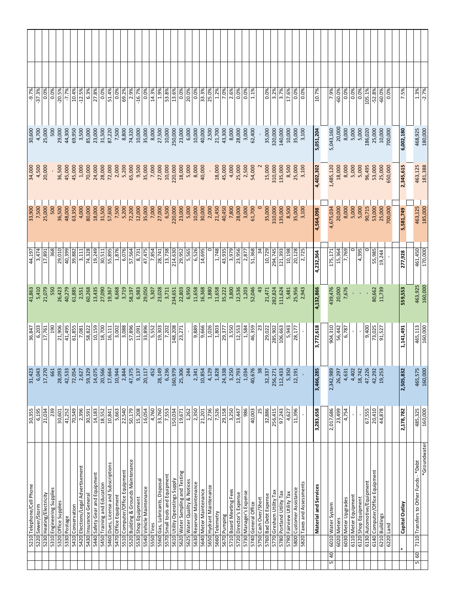| $-2.7%$           | 180,000           | 181,388           | 185,000           | 170,000           | 160,000          | 160,000          | 160,000          | 160,000          | *Groundwater                                                     |
|-------------------|-------------------|-------------------|-------------------|-------------------|------------------|------------------|------------------|------------------|------------------------------------------------------------------|
| 1.3%              | 468,925           | 463,125           | 463,125           | 461,450           | 463,925          | 465,113          | 465,575          | 485,325          | 7110 Transfers to Other Funds - * Debt                           |
| 7.5%              | 6,002,180         | 2,345,615         | 5,581,749         | 277,928           |                  | 1,141,491        |                  | 2,178,782        |                                                                  |
|                   |                   |                   |                   |                   | 559,553          |                  | 2,505,832        |                  |                                                                  |
| 0.0%              | 700,000           | 650,000           | 700,000           |                   |                  |                  |                  |                  |                                                                  |
| $-60.0%$          | 10,000            | 25,000            | 25,000            | 19,244            | 11,739           | 91,527           | 19,253           | 44,878           |                                                                  |
| $-52.8%$          | 25,000            | 53,000            | 53,000            | 55,985            | 80,662           | 73,025           | 42,292           | 20,410           | 6140 Computer/Office Equipment                                   |
| 105.1%            | 186,020           | 96,495            | 90,715            | c                 |                  | 9,400            | 47,226           | 67,555           | 6130 Automotive/Equipment                                        |
| 0.0%              | 5,000             | 5,000             | 5,000             | 4,395             |                  |                  | 18,742           |                  |                                                                  |
| 0.0%              | 5,000             | 5,000             | 5,000             | 0                 |                  |                  | 4,402            |                  |                                                                  |
| 0.0%              | 8,000             | 8,000             | 8,000             | 7,769             | 7,676            | 6,787            | 4,631            | 4,754            |                                                                  |
| $-60.0\%$         | 20,000            | 18,000            | 20,000            | 15,364            | 20,000           | 56,442           | 26,297           | 23,499           |                                                                  |
| 7.9%              | 5,043,160         | 1,485,120         | 4,675,034         | 175,171           | 439,476          | 904,310          | 2,342,989        | 2,017,686        |                                                                  |
|                   |                   |                   |                   |                   |                  |                  |                  |                  |                                                                  |
| 10.7%             | 5,051,204         | 4,402,302         | 4,564,098         | 4,232,364         | 4,132,866        | 3,772,618        | 3,466,285        | 3,283,658        | Material and Services                                            |
| 0.0%              | 3,100             | 3,100             | 3,100             | 2,725             | 2,943            |                  |                  |                  | 5820 Taxes and Assessments                                       |
| 0.0%              | 35,000            | 25,000            | 35,000            | 20,128            | 25,956           | 28,177           | 12,191           | 11,396           |                                                                  |
| 17.6%             | 10,000            | 8,500             | 8,500             | 10,198            | 5,481            | 5,943            | 5,350            | 4,627            |                                                                  |
| 3.7%              | 140,000           | 135,000           | 135,000           | 121,393           | 111,624          | 106,663          | 112,433          | 97,243           |                                                                  |
| 3.2%              | 320,000           | 310,000           | 310,000           | 294,745           | 282,824          | 285,902          | 256,271          | 256,415          |                                                                  |
| 0.0%              | 35,000            | 15,000            | 35,000            | 10,729            | 21,471           | 29,022           | 32,337           | 32,886           |                                                                  |
| 1.1%              | 62,400            | 54,000            | 61,700<br>$\circ$ | 51,368<br>34      | 52,046<br>43     | 46,359<br>23     | 40,676<br>38     | 40,003<br>25     |                                                                  |
| 0.0%              | 3,000             | 2,500             | 3,000             | 2,877             | 1,203            | 1,584            | 1,034            | 986              |                                                                  |
| 0.0%              | 28,000            | 25,000            | 28,000            | 23,956            | 12,536           | 12,553           | 12,793           | 13,447           | 5730 Manager's Expense                                           |
| 2.6%              | 8,000             | 4,000             | 7,800             | 3,979             | 3,800            | 3,550            | 3,250            | 3,250            | 5710 Board Meeting Fees                                          |
| 7.0%              | 43,300            | 45,000            | 40,450            | 43,935            | 35,222           | 29,377           | 24,338           | 29,158           |                                                                  |
| 25.0%<br>1.2%     | 2,500<br>21,700   | 18,000            | 2,000<br>21,450   | 1,748             | 1,880<br>11,658  | 1,026<br>1,803   | 4,129<br>1,828   | 2,736<br>7,526   | 5650 Hydrant Maintenance                                         |
| 33.3%             | 40,000            | 40,000            | 30,000            | 14,695            | 16,368           | 9,666            | 10,854           | 21,201           | 5640 Meter Maintenance                                           |
| 0.0%              | 10,000            | 8,000             | 10,000            | 6,526             | 11,658           | 9,889            | 2,341            | 2,350            | 5630 Reservoir Maintenance                                       |
| 20.0%             | 6,000             | 5,000             | 5,000             | 5,565             | 6,950            |                  | 244              | 1,262            | 5625 Water Quality & Notices                                     |
| 0.0%              | 23,000            | 18,000            | 23,000            | 29,952            | 22,803           | 23,271           | 25,306           | 19,671           | 5620 Water Sampling and Testing                                  |
| 53.8%<br>13.6%    | 10,000<br>250,000 | 10,000<br>220,000 | 6,500<br>220,000  | 214,630<br>13,738 | 3,711<br>234,651 | 148,208<br>7,202 | 6,236<br>160,979 | 7,553<br>150,034 | 5570 Small tools and Equipment<br>5610 Utility Operatings Supply |
| 1.9%              | 27,500            | 27,000            | 27,000            | 28,741            | 23,028           | 19,303           | 28,149           | 33,760           | 5560 Gas, Lubricants, Disposal                                   |
| 14.3%             | 8,000             | 7,000             | 7,000             | 7,854             | 5,307            | 5,552            | 452              | 4,760            |                                                                  |
| 0.0%              | 35,000            | 35,000            | 35,000            | 47,475            | 29,050           | 33,896           | 20,117           | 16,054           | 5540 Vehicle Maintenance                                         |
| $-16.7%$          | 10,000            | 9,500             | 12,000            | 8,731             | 6,983            | 11,091           | 9,137            | 15,208           |                                                                  |
| 2.9%              | 74,320            | 65,000            | 72,200            | 57,564            | 58,197           | 57,896           | 47,375           | 50,179           | 5520 Building & Grounds Maintenance                              |
| 69.2%<br>0.0%     | 7,500<br>8,800    | 5,200<br>2,000    | 7,500<br>5,200    | 6,076<br>1,876    | 6,668<br>3,719   | 3,088<br>3,002   | 2,844<br>10,944  | 22,540<br>5,663  | 5510 Computer/Office Equipment                                   |
| 51.4%             | 87,220            | 72,000            | 57,600            | 55,895            | 19,367           | 16,111           | 17,664           | 10,841           | 5460 Dues, License and Subscriptions                             |
| 0.0%              | 31,500            | 28,000            | 31,500            | 30,511            | 27,090           | 18,700           | 20,566           | 18,552           | 5450 Training and Education                                      |
| 27.8%             | 23,000            | 24,000            | 18,000            | 19,249            | 13,435           | 10,159           | 14,075           | 14,183           | 5440 Safety Gear and Equipment                                   |
| 6.3%              | 85,000            | 70,000            | 80,000            | 74,328            | 60,268           | 58,822           | 59,329           | 30,591           |                                                                  |
| 10.4%<br>$-12.5%$ | 69,950<br>3,500   | 45,000<br>1,000   | 63,350<br>4,000   | 39,882<br>3,111   | 61,885<br>2,551  | 61,855<br>7,081  | 72,054<br>2,627  | 2,396<br>70,549  | 5420 Elections/Legal Advertisement                               |
| $-7.7%$           | 44,300            | 45,000            | 48,000            | 40,399            | 40,279           | 41,495           | 42,533           | 41,252           |                                                                  |
| $-20.5%$          | 29,000            | 36,500            | 36,500            | 29,010            | 26,423           | 21,906           | 28,093           | 30,601           |                                                                  |
| 0.0%              | 500               |                   | 500               | 368               | 550              | 190              | 661              | 239              | 5310 Engineering Supplies                                        |
| 0.0%              | 25,000            | 20,000            | 25,000            | 17,891            | 21,079           | 17,761           | 17,270           | 21,034           |                                                                  |
| $-37.3%$          | 4,700             | 4,500             | 7,500             | 3,474             | 5,410            | 6,203            | 6,043            | 6,195            |                                                                  |
| $-9.7%$           | 30,600            | 34,000            | 33,900            | 44,197            | 41,863           | 36,847           | 31,423           | 30,355           | 5210 Telephone/Cell Phone                                        |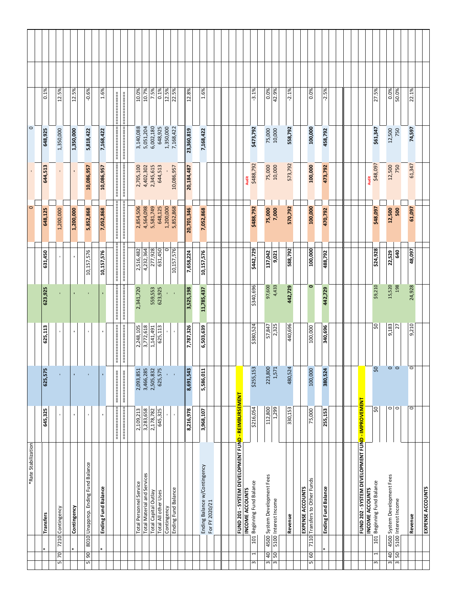|                     | 0.1%             | 12.5%                                    | 12.5%          | $-0.6%$                                       | 1.6%                       |                                         | 10.7%<br>10.0%                                         | 7.5%                 | 0.1%                 | 12.5%       | 22.5%               | 12.8%      | 1.6%                         |                |  |                                                    |                           | $-3.1%$                              | 0.0%                                                                                        | 42.9%                | $-2.1%$ |                         | 0.0%                                     | $-2.5%$                    |  |                                                                |                        | 27.5%                                     | 0.0%                                                 | 50.0%                                                     | 22.1%   |                         |
|---------------------|------------------|------------------------------------------|----------------|-----------------------------------------------|----------------------------|-----------------------------------------|--------------------------------------------------------|----------------------|----------------------|-------------|---------------------|------------|------------------------------|----------------|--|----------------------------------------------------|---------------------------|--------------------------------------|---------------------------------------------------------------------------------------------|----------------------|---------|-------------------------|------------------------------------------|----------------------------|--|----------------------------------------------------------------|------------------------|-------------------------------------------|------------------------------------------------------|-----------------------------------------------------------|---------|-------------------------|
| $\circ$             | 648,925          | 1,350,000                                | 1,350,000      | 5,818,422                                     | 7,168,422                  |                                         | 3,140,088<br>5,051,204                                 | 6,002,180            | 648,925              | 1,350,000   | 7,168,422           | 23,360,819 | 7,168,422                    |                |  |                                                    | \$473,792                 |                                      | 75,000<br>10,000                                                                            |                      | 558,792 |                         | 100,000                                  | 458,792                    |  |                                                                |                        | \$61,347                                  | 12,500                                               | 750                                                       | 74,597  |                         |
|                     | 644,513          |                                          |                | 10,086,957                                    | 10,086,957                 | ≡≡≡≡≡≡≡≡≡≡≡<br>┋                        | 2,705,100<br>4,402,302                                 | 2,345,615            | 644,513              |             | 10,086,957          | 20,184,487 |                              |                |  |                                                    | \$488,792<br><b>Audit</b> |                                      | 75,000                                                                                      | 10,000               | 573,792 |                         | 100,000                                  | 473,792                    |  |                                                                | <b>Audit</b>           | \$48,097                                  | 12,500                                               | 750                                                       | 61,347  |                         |
| $\circ$             | 648,125          | 1,200,000                                | 1,200,000      | 5,852,868                                     | 7,052,868                  | ================                        | 2,854,506<br>4,564,098                                 | 5,581,749            | 648,125              | 1,200,000   | 5,852,868           | 20,701,346 | 7,052,868                    |                |  |                                                    |                           | \$488,792                            | 75,000                                                                                      | 7,000                | 570,792 |                         | 100,000                                  | 470,792                    |  |                                                                |                        | \$48,097                                  | 12,500                                               | 500                                                       | 61,097  |                         |
|                     | 631,450          |                                          |                | 10,157,576                                    | 10,157,576                 | ================<br>ii<br>============= | 4,232,364<br>2,516,482                                 | 277,928              | 631,450              | 0           | 10,157,576          | 7,658,224  | 10,157,576                   |                |  |                                                    |                           | \$442,729                            | 137,042                                                                                     | 9,021                | 588,792 |                         | 100,000                                  | 488,792                    |  |                                                                |                        | \$24,928                                  | 22,529                                               | 640                                                       | 48,097  |                         |
|                     | 623,925          |                                          |                |                                               |                            | ============                            | 2,341,720                                              | 559,553              | 623,925              |             |                     | 3,525,198  | 11,785,437                   |                |  |                                                    |                           | \$340,696                            | 97,600                                                                                      | 4,433                | 442,729 |                         | ۰                                        | 442,729                    |  |                                                                |                        | \$9,210                                   | 15,520                                               | 198                                                       | 24,928  |                         |
|                     | 625,113          | $\overline{\phantom{a}}$                 | ٠              |                                               |                            | ================                        | 3,772,618<br>2,248,105                                 | 1,141,491            | 625,113              |             |                     | 7,787,326  | 6,503,639                    |                |  |                                                    |                           | \$380,524                            | 57,847                                                                                      | 2,325                | 440,696 |                         | 100,000                                  | 340,696                    |  |                                                                |                        | SO                                        | 9,183                                                | 27                                                        | 9,210   |                         |
|                     | 625,575          |                                          |                |                                               |                            | ===============                         | 3,466,285<br>2,093,851                                 | 2,505,832            | 625,575              |             |                     | 8,691,543  | 5,586,011                    |                |  |                                                    | \$255,153                 |                                      | 223,800                                                                                     | 1,571                | 480,524 |                         | 100,000                                  | 380,524                    |  |                                                                |                        | $\frac{5}{2}$                             |                                                      | $\circ$ $\circ$                                           | 0       |                         |
|                     | 645,325          |                                          | $\blacksquare$ | $\blacksquare$                                |                            | =============<br>=============          | 3,283,658<br>2,109,213                                 | 2,178,782            | 645,325              |             | $\mathbf{r}$        | 8,216,978  | 3,968,107                    |                |  |                                                    |                           | \$216,054                            | 112,800                                                                                     | 1,299                | 330,153 |                         | 75,000                                   | 255,153                    |  |                                                                |                        | SO,                                       |                                                      | $\overline{\circ}$ $\overline{\circ}$                     | $\circ$ |                         |
| *Rate Stabilization | <b>Transfers</b> | 7210 Contingency<br>70<br>$\overline{5}$ | Contingency    | 8010 Unapprop. Ending Fund Balance<br>90<br>5 | <b>Ending Fund Balance</b> |                                         | Total Material and Services<br>Total Personnel Service | Total Capital Outlay | Total All other Uses | Contingency | Ending Fund Balance |            | Ending Balance w/Contingency | For FY 2020/21 |  | FUND 201 - SYSTEM DEVELOPMENT FUND - REIMBURSEMENT | INCOME ACCOUNTS           | 101 Beginning Fund Balance<br>1<br>ω | 4500 System Development Fees<br>$\begin{array}{c c}\n3 & 50 \\ \hline\n3 & 50\n\end{array}$ | 5100 Interest Income | Revenue | <b>EXPENSE ACCOUNTS</b> | 7110 Transfers to Other Funds<br>60<br>5 | <b>Ending Fund Balance</b> |  | FUND 202 - SYSTEM DEVELOPMENT FUN <mark>D - IMPROVEMENT</mark> | <b>INCOME ACCOUNTS</b> | 101 Beginning Fund Balance<br>1<br>$\sim$ | 4500 System Development Fees<br>40<br>$\overline{3}$ | 5100 Interest Income<br>$\overline{50}$<br>$\overline{3}$ | Revenue | <b>EXPENSE ACCOUNTS</b> |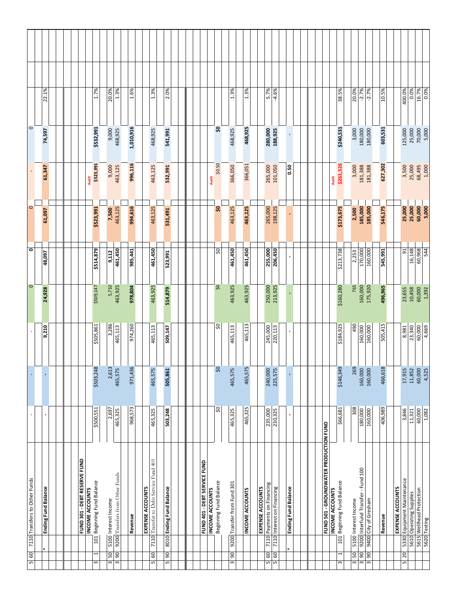|                               | 22.1%                      |  |                                                        | 1.7%                       | 20.0%                | 1.3%                            | 1.6%      | 1.3%                                                       | 2.0%                     |                              |                                           | 1.3%                        | 1.3%                   |                  | 5.7%<br>$-4.6%$                                             |                            |                                               |                 | 38.5%                      | 20.0%                | $-2.7%$                                                                 | $-2.7%$              | 10.5%   |                  | 400.0%                                                | 0.0%   |
|-------------------------------|----------------------------|--|--------------------------------------------------------|----------------------------|----------------------|---------------------------------|-----------|------------------------------------------------------------|--------------------------|------------------------------|-------------------------------------------|-----------------------------|------------------------|------------------|-------------------------------------------------------------|----------------------------|-----------------------------------------------|-----------------|----------------------------|----------------------|-------------------------------------------------------------------------|----------------------|---------|------------------|-------------------------------------------------------|--------|
| $\circ$                       | 74,597                     |  |                                                        | \$532,991                  | 9,000                | 468,925                         | 1,010,916 | 468,925                                                    | 541,991                  |                              | s.                                        | 468,925                     | 468,925                |                  | 280,000<br>188,925                                          |                            |                                               |                 | \$240,531                  | 3,000                | 180,000                                                                 | 180,000              | 603,531 |                  | 125,000                                               | 25,000 |
|                               | 61,347                     |  | <b>Audit</b>                                           | \$523,991                  | 9,000                | 463,125                         | 996,116   | 463,125                                                    | 532,991                  |                              | \$0.50<br><b>Audit</b>                    | 366,050                     | 366,051                |                  | 265,000<br>101,050                                          | <b>ទី</b>                  |                                               | <b>Audit</b>    | \$261,526                  | 3,000                | 181,388                                                                 | 181,388              | 627,302 |                  | 3,500                                                 | 25,000 |
| $\circ$                       | 61,097                     |  |                                                        | \$523,991                  | 7,500                | 463,125                         | 994,616   | 463,125                                                    | 531,491                  |                              | ຊ                                         | 463,125                     | 463,125                |                  | 265,000<br>198,125                                          |                            |                                               |                 | \$173,675                  | 2,500                | 185,000                                                                 | 185,000              | 546,175 |                  | 25,000<br>25,000                                      |        |
| $\circ$                       | 48,097                     |  |                                                        | \$514,879                  | 9,112                | 461,450                         | 985,441   | 461,450                                                    | 523,991                  |                              | SO,                                       | 461,450                     | 461,450                |                  | 255,000<br>206,450                                          |                            |                                               |                 | \$213,738                  | 2,253                | 170,000                                                                 | 160,000              | 545,991 |                  | 51                                                    | 16,148 |
| $\circ$                       | 24,928                     |  |                                                        | \$509,147                  | 5,732                | 463,925                         | 978,804   | 463,925                                                    | 514,879                  |                              | SO,                                       | 463,925                     | 463,925                |                  | 250,000<br>213,925                                          |                            |                                               |                 | \$160,280                  | 765                  | 160,000                                                                 | 175,920              | 496,965 |                  | 23,655<br>10,458                                      |        |
|                               | 9,210                      |  |                                                        | \$505,861                  | 3,286                | 465,113                         | 974,260   | 465,113                                                    | 509,147                  |                              | SO,                                       | 465,113                     | 465,113                |                  | 245,000<br>220,113                                          |                            |                                               |                 | \$184,925                  | 490                  | 160,000                                                                 | 160,000              | 505,415 |                  | 23,340<br>8,981                                       |        |
| $\mathbf{r}$                  | $\mathbf{r}$               |  |                                                        | \$503,248                  | 2,613                | 465,575                         | 971,436   | 465,575                                                    | 505,861                  |                              | SO                                        | 465,575                     | 465,575                |                  | 240,000<br>225,575                                          |                            |                                               |                 | \$146,349                  | 269                  | 160,000                                                                 | 160,000              | 466,618 |                  | 17,915<br>11,852                                      |        |
|                               | ٠                          |  |                                                        | \$500,551                  | 2,697                | 465,325                         | 968,573   | 465,325                                                    | 503,248                  |                              | SO,                                       | 465,325                     | 465,325                |                  | 235,000<br>230,325                                          |                            |                                               |                 | \$66,681                   | 308                  |                                                                         | 180,000              | 406,989 |                  | 3,846<br>11,321                                       |        |
| 7110 Transfers to Other Funds | <b>Ending Fund Balance</b> |  | FUND 301 - DEBT RESERVE FUND<br><b>INCOME ACCOUNTS</b> | 101 Beginning Fund Balance | 5100 Interest Income | 9200 Transfers from Other Funds | Revenue   | 7110 Transfer to Debt Service Fund 401<br>EXPENSE ACCOUNTS | 8010 Ending Fund Balance | FUND 401 - DEBT SERVICE FUND | Beginning Fund Balance<br>INCOME ACCOUNTS | 9200 Transfer from Fund 301 | <b>INCOME ACCOUNTS</b> | EXPENSE ACCOUNTS | 7110 Payments on Financing<br>7110 Interest on Financing    | <b>Ending Fund Balance</b> | <b>EUND 501 - GROUNDWATER PRODUCTION FUND</b> | INCOME ACCOUNTS | 101 Beginning Fund Balance | 5100 Interest Income | 9200 Interfund Transfer - Fund 100                                      | 9400 City of Gresham | Revenue | EXPENSE ACCOUNTS | 5330 Equipment Maintenance<br>5610 Operating Supplies |        |
| $5\,60$                       |                            |  |                                                        | 1<br>$\mathsf m$           | SO,<br>3             | $\frac{1}{3}$ 90                |           | GO<br>$\overline{5}$                                       | 5 90                     |                              |                                           | 3 90                        |                        |                  | $\begin{array}{c c}\n5 & 60 \\ \hline\n5 & 60\n\end{array}$ |                            |                                               |                 | $\overline{ }$<br>3        | 50<br>3              | $\begin{array}{ c c c }\n\hline\n3 & 90 \\ \hline\n3 & 90\n\end{array}$ |                      |         |                  | 5 20                                                  |        |